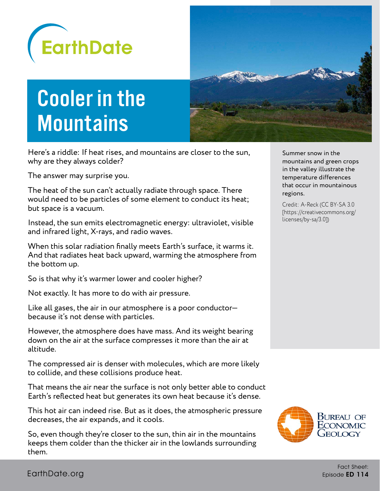

## Cooler in the **Mountains**

Here's a riddle: If heat rises, and mountains are closer to the sun, why are they always colder?

The answer may surprise you.

The heat of the sun can't actually radiate through space. There would need to be particles of some element to conduct its heat; but space is a vacuum.

Instead, the sun emits electromagnetic energy: ultraviolet, visible and infrared light, X-rays, and radio waves.

When this solar radiation finally meets Earth's surface, it warms it. And that radiates heat back upward, warming the atmosphere from the bottom up.

So is that why it's warmer lower and cooler higher?

Not exactly. It has more to do with air pressure.

Like all gases, the air in our atmosphere is a poor conductor because it's not dense with particles.

However, the atmosphere does have mass. And its weight bearing down on the air at the surface compresses it more than the air at altitude.

The compressed air is denser with molecules, which are more likely to collide, and these collisions produce heat.

That means the air near the surface is not only better able to conduct Earth's reflected heat but generates its own heat because it's dense.

This hot air can indeed rise. But as it does, the atmospheric pressure decreases, the air expands, and it cools.

So, even though they're closer to the sun, thin air in the mountains keeps them colder than the thicker air in the lowlands surrounding them.

Summer snow in the mountains and green crops in the valley illustrate the temperature differences that occur in mountainous regions.

Credit: A-Reck (CC BY-SA 3.0 [https://creativecommons.org/ licenses/by-sa/3.0])

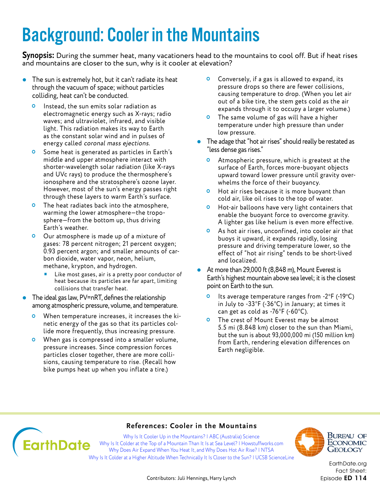### Background: Cooler in the Mountains

**Synopsis:** During the summer heat, many vacationers head to the mountains to cool off. But if heat rises and mountains are closer to the sun, why is it cooler at elevation?

- The sun is extremely hot, but it can't radiate its heat through the vacuum of space; without particles colliding, heat can't be conducted.
	- **O** Instead, the sun emits solar radiation as electromagnetic energy such as X-rays; radio waves; and ultraviolet, infrared, and visible light. This radiation makes its way to Earth as the constant solar wind and in pulses of energy called coronal mass ejections.
	- **O** Some heat is generated as particles in Earth's middle and upper atmosphere interact with shorter-wavelength solar radiation (like X-rays and UVc rays) to produce the thermosphere's ionosphere and the stratosphere's ozone layer. However, most of the sun's energy passes right through these layers to warm Earth's surface.
	- **O** The heat radiates back into the atmosphere, warming the lower atmosphere—the troposphere—from the bottom up, thus driving Earth's weather.
	- Our atmosphere is made up of a mixture of gases: 78 percent nitrogen; 21 percent oxygen; 0.93 percent argon; and smaller amounts of carbon dioxide, water vapor, neon, helium, methane, krypton, and hydrogen.
		- Like most gases, air is a pretty poor conductor of heat because its particles are far apart, limiting collisions that transfer heat.
- The ideal gas law, PV=nRT, defines the relationship among atmospheric pressure, volume, and temperature.
	- When temperature increases, it increases the kinetic energy of the gas so that its particles collide more frequently, thus increasing pressure.
	- **O** When gas is compressed into a smaller volume, pressure increases. Since compression forces particles closer together, there are more collisions, causing temperature to rise. (Recall how bike pumps heat up when you inflate a tire.)
- **O** Conversely, if a gas is allowed to expand, its pressure drops so there are fewer collisions, causing temperature to drop. (When you let air out of a bike tire, the stem gets cold as the air expands through it to occupy a larger volume.)
- **O** The same volume of gas will have a higher temperature under high pressure than under low pressure.
- The adage that "hot air rises" should really be restated as "less dense gas rises."
	- **O** Atmospheric pressure, which is greatest at the surface of Earth, forces more-buoyant objects upward toward lower pressure until gravity overwhelms the force of their buoyancy.
	- **O** Hot air rises because it is more buoyant than cold air, like oil rises to the top of water.
	- **O** Hot-air balloons have very light containers that enable the buoyant force to overcome gravity. A lighter gas like helium is even more effective.
	- As hot air rises, unconfined, into cooler air that buoys it upward, it expands rapidly, losing pressure and driving temperature lower, so the effect of "hot air rising" tends to be short-lived and localized.
- At more than 29,000 ft (8,848 m), Mount Everest is Earth's highest mountain above sea level; it is the closest point on Earth to the sun.
	- $\bullet$  Its average temperature ranges from -2°F (-19°C) in July to -33°F (-36°C) in January; at times it can get as cold as -76°F (-60°C).
	- **O** The crest of Mount Everest may be almost 5.5 mi (8.848 km) closer to the sun than Miami, but the sun is about 93,000,000 mi (150 million km) from Earth, rendering elevation differences on Earth negligible.

#### **References: Cooler in the Mountains**

Why Is It Cooler Up in the Mountains? I ABC (Australia) Science **EarthDate** [Why Is It Colder at the Top of a Mountain Than It Is at Sea Level? | Howstuffworks.com](https://science.howstuffworks.com/nature/climate-weather/atmospheric/question186.htm) [Why Does Air Expand When You Heat It, and Why Does Hot Air Rise? | NTSA](https://www.nsta.org/publications/news/story.aspx?id=52428) Why Is It Colder at a Higher Altitude When Technically It Is Closer to the Sun? I UCSB ScienceLine



Bureau of ECONOMIC GEOLOGY

[EarthDate.org](http://www.earthdate.org) Fact Sheet: Episode ED 114

Contributors: Juli Hennings, Harry Lynch